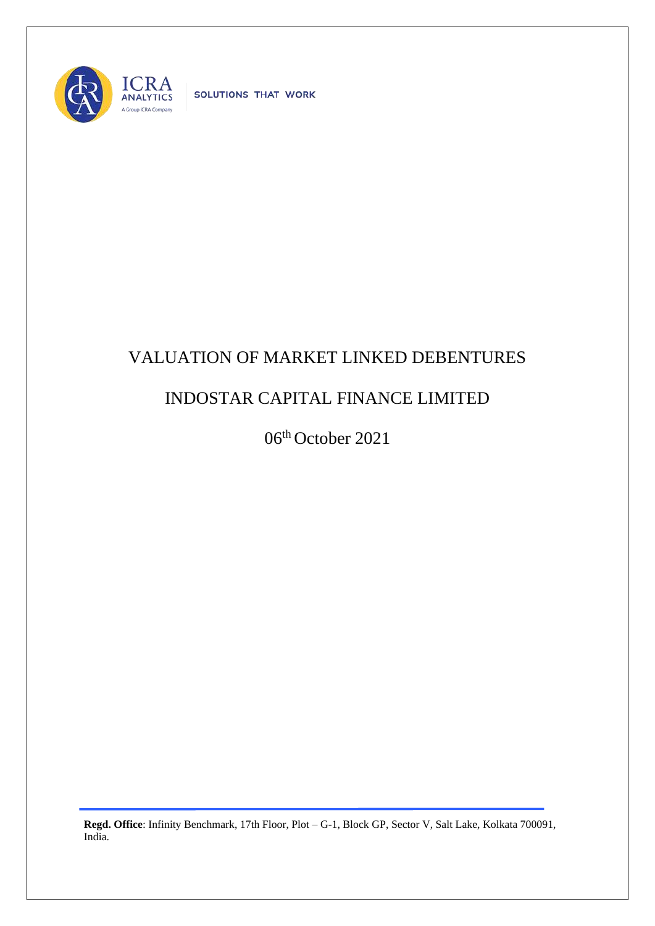

SOLUTIONS THAT WORK

## VALUATION OF MARKET LINKED DEBENTURES

## INDOSTAR CAPITAL FINANCE LIMITED

06th October 2021

**Regd. Office**: Infinity Benchmark, 17th Floor, Plot – G-1, Block GP, Sector V, Salt Lake, Kolkata 700091, India.